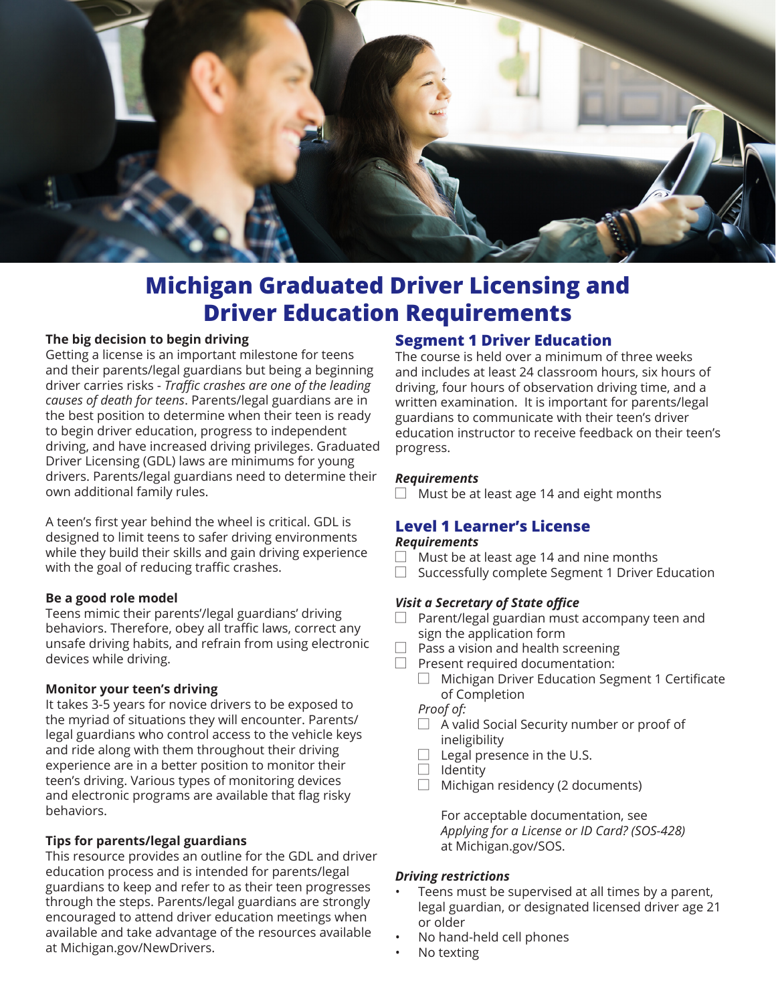

# **Michigan Graduated Driver Licensing and Driver Education Requirements**

#### **The big decision to begin driving**

Getting a license is an important milestone for teens and their parents/legal guardians but being a beginning driver carries risks - *Traffic crashes are one of the leading causes of death for teens*. Parents/legal guardians are in the best position to determine when their teen is ready to begin driver education, progress to independent driving, and have increased driving privileges. Graduated Driver Licensing (GDL) laws are minimums for young drivers. Parents/legal guardians need to determine their own additional family rules.

A teen's first year behind the wheel is critical. GDL is designed to limit teens to safer driving environments while they build their skills and gain driving experience with the goal of reducing traffic crashes.

#### **Be a good role model**

Teens mimic their parents'/legal guardians' driving behaviors. Therefore, obey all traffic laws, correct any unsafe driving habits, and refrain from using electronic devices while driving.

#### **Monitor your teen's driving**

It takes 3-5 years for novice drivers to be exposed to the myriad of situations they will encounter. Parents/ legal guardians who control access to the vehicle keys and ride along with them throughout their driving experience are in a better position to monitor their teen's driving. Various types of monitoring devices and electronic programs are available that flag risky behaviors.

#### **Tips for parents/legal guardians**

This resource provides an outline for the GDL and driver education process and is intended for parents/legal guardians to keep and refer to as their teen progresses through the steps. Parents/legal guardians are strongly encouraged to attend driver education meetings when available and take advantage of the resources available at Michigan.gov/NewDrivers.

## **Segment 1 Driver Education**

The course is held over a minimum of three weeks and includes at least 24 classroom hours, six hours of driving, four hours of observation driving time, and a written examination. It is important for parents/legal guardians to communicate with their teen's driver education instructor to receive feedback on their teen's progress.

#### *Requirements*

 $\Box$  Must be at least age 14 and eight months

## **Level 1 Learner's License**

#### *Requirements*

- $\Box$  Must be at least age 14 and nine months
- ☐ Successfully complete Segment 1 Driver Education

#### *Visit a Secretary of State office*

- $\Box$  Parent/legal guardian must accompany teen and sign the application form
- $\Box$  Pass a vision and health screening
- $\Box$  Present required documentation:
	- ☐ Michigan Driver Education Segment 1 Certificate of Completion
	- *Proof of:*
	- ☐ A valid Social Security number or proof of ineligibility
	- $\Box$  Legal presence in the U.S.
	- $\Box$  Identity
	- $\Box$  Michigan residency (2 documents)

For acceptable documentation, see *Applying for a License or ID Card? (SOS-428)* at Michigan.gov/SOS.

#### *Driving restrictions*

- Teens must be supervised at all times by a parent, legal guardian, or designated licensed driver age 21 or older
- No hand-held cell phones
- No texting